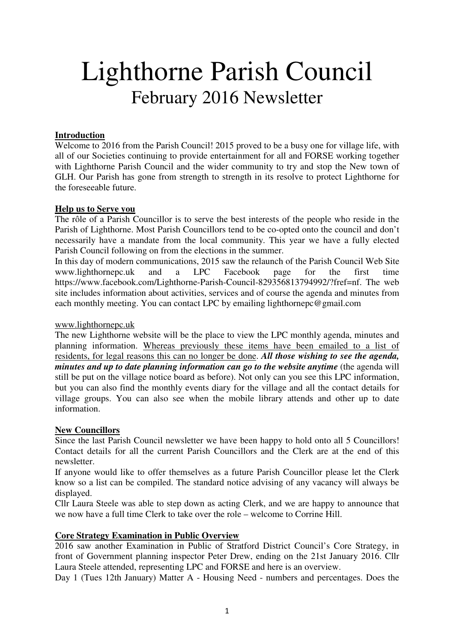# Lighthorne Parish Council February 2016 Newsletter

#### **Introduction**

Welcome to 2016 from the Parish Council! 2015 proved to be a busy one for village life, with all of our Societies continuing to provide entertainment for all and FORSE working together with Lighthorne Parish Council and the wider community to try and stop the New town of GLH. Our Parish has gone from strength to strength in its resolve to protect Lighthorne for the foreseeable future.

#### **Help us to Serve you**

The rôle of a Parish Councillor is to serve the best interests of the people who reside in the Parish of Lighthorne. Most Parish Councillors tend to be co-opted onto the council and don't necessarily have a mandate from the local community. This year we have a fully elected Parish Council following on from the elections in the summer.

In this day of modern communications, 2015 saw the relaunch of the Parish Council Web Site www.lighthornepc.uk and a LPC Facebook page for the first time https://www.facebook.com/Lighthorne-Parish-Council-829356813794992/?fref=nf. The web site includes information about activities, services and of course the agenda and minutes from each monthly meeting. You can contact LPC by emailing lighthornepc@gmail.com

#### www.lighthornepc.uk

The new Lighthorne website will be the place to view the LPC monthly agenda, minutes and planning information. Whereas previously these items have been emailed to a list of residents, for legal reasons this can no longer be done. *All those wishing to see the agenda, minutes and up to date planning information can go to the website anytime* (the agenda will still be put on the village notice board as before). Not only can you see this LPC information, but you can also find the monthly events diary for the village and all the contact details for village groups. You can also see when the mobile library attends and other up to date information.

#### **New Councillors**

Since the last Parish Council newsletter we have been happy to hold onto all 5 Councillors! Contact details for all the current Parish Councillors and the Clerk are at the end of this newsletter.

If anyone would like to offer themselves as a future Parish Councillor please let the Clerk know so a list can be compiled. The standard notice advising of any vacancy will always be displayed.

Cllr Laura Steele was able to step down as acting Clerk, and we are happy to announce that we now have a full time Clerk to take over the role – welcome to Corrine Hill.

#### **Core Strategy Examination in Public Overview**

2016 saw another Examination in Public of Stratford District Council's Core Strategy, in front of Government planning inspector Peter Drew, ending on the 21st January 2016. Cllr Laura Steele attended, representing LPC and FORSE and here is an overview.

Day 1 (Tues 12th January) Matter A - Housing Need - numbers and percentages. Does the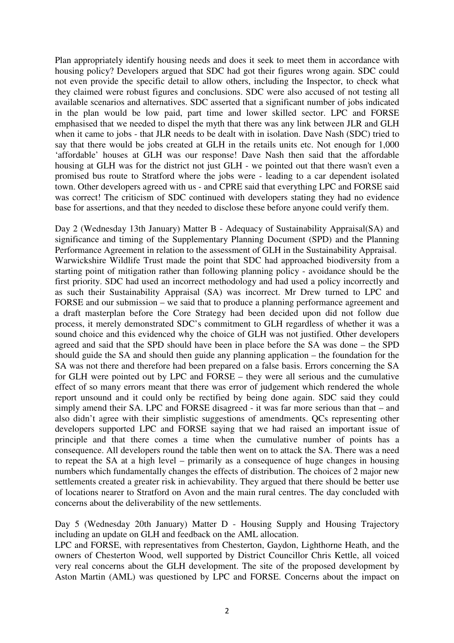Plan appropriately identify housing needs and does it seek to meet them in accordance with housing policy? Developers argued that SDC had got their figures wrong again. SDC could not even provide the specific detail to allow others, including the Inspector, to check what they claimed were robust figures and conclusions. SDC were also accused of not testing all available scenarios and alternatives. SDC asserted that a significant number of jobs indicated in the plan would be low paid, part time and lower skilled sector. LPC and FORSE emphasised that we needed to dispel the myth that there was any link between JLR and GLH when it came to jobs - that JLR needs to be dealt with in isolation. Dave Nash (SDC) tried to say that there would be jobs created at GLH in the retails units etc. Not enough for 1,000 'affordable' houses at GLH was our response! Dave Nash then said that the affordable housing at GLH was for the district not just GLH - we pointed out that there wasn't even a promised bus route to Stratford where the jobs were - leading to a car dependent isolated town. Other developers agreed with us - and CPRE said that everything LPC and FORSE said was correct! The criticism of SDC continued with developers stating they had no evidence base for assertions, and that they needed to disclose these before anyone could verify them.

Day 2 (Wednesday 13th January) Matter B - Adequacy of Sustainability Appraisal(SA) and significance and timing of the Supplementary Planning Document (SPD) and the Planning Performance Agreement in relation to the assessment of GLH in the Sustainability Appraisal. Warwickshire Wildlife Trust made the point that SDC had approached biodiversity from a starting point of mitigation rather than following planning policy - avoidance should be the first priority. SDC had used an incorrect methodology and had used a policy incorrectly and as such their Sustainability Appraisal (SA) was incorrect. Mr Drew turned to LPC and FORSE and our submission – we said that to produce a planning performance agreement and a draft masterplan before the Core Strategy had been decided upon did not follow due process, it merely demonstrated SDC's commitment to GLH regardless of whether it was a sound choice and this evidenced why the choice of GLH was not justified. Other developers agreed and said that the SPD should have been in place before the SA was done – the SPD should guide the SA and should then guide any planning application – the foundation for the SA was not there and therefore had been prepared on a false basis. Errors concerning the SA for GLH were pointed out by LPC and FORSE – they were all serious and the cumulative effect of so many errors meant that there was error of judgement which rendered the whole report unsound and it could only be rectified by being done again. SDC said they could simply amend their SA. LPC and FORSE disagreed - it was far more serious than that – and also didn't agree with their simplistic suggestions of amendments. QCs representing other developers supported LPC and FORSE saying that we had raised an important issue of principle and that there comes a time when the cumulative number of points has a consequence. All developers round the table then went on to attack the SA. There was a need to repeat the SA at a high level – primarily as a consequence of huge changes in housing numbers which fundamentally changes the effects of distribution. The choices of 2 major new settlements created a greater risk in achievability. They argued that there should be better use of locations nearer to Stratford on Avon and the main rural centres. The day concluded with concerns about the deliverability of the new settlements.

Day 5 (Wednesday 20th January) Matter D - Housing Supply and Housing Trajectory including an update on GLH and feedback on the AML allocation.

LPC and FORSE, with representatives from Chesterton, Gaydon, Lighthorne Heath, and the owners of Chesterton Wood, well supported by District Councillor Chris Kettle, all voiced very real concerns about the GLH development. The site of the proposed development by Aston Martin (AML) was questioned by LPC and FORSE. Concerns about the impact on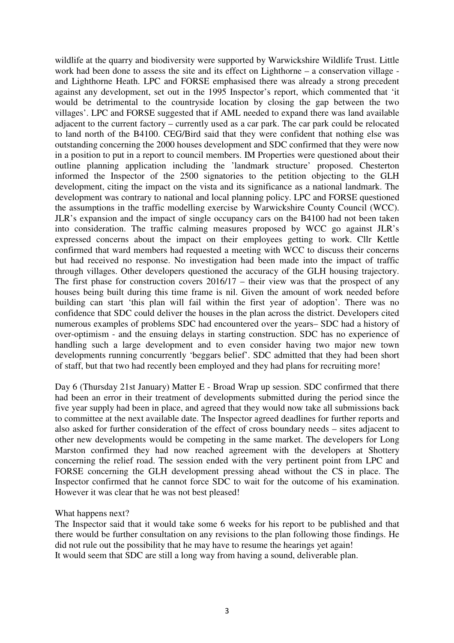wildlife at the quarry and biodiversity were supported by Warwickshire Wildlife Trust. Little work had been done to assess the site and its effect on Lighthorne – a conservation village and Lighthorne Heath. LPC and FORSE emphasised there was already a strong precedent against any development, set out in the 1995 Inspector's report, which commented that 'it would be detrimental to the countryside location by closing the gap between the two villages'. LPC and FORSE suggested that if AML needed to expand there was land available adjacent to the current factory – currently used as a car park. The car park could be relocated to land north of the B4100. CEG/Bird said that they were confident that nothing else was outstanding concerning the 2000 houses development and SDC confirmed that they were now in a position to put in a report to council members. IM Properties were questioned about their outline planning application including the 'landmark structure' proposed. Chesterton informed the Inspector of the 2500 signatories to the petition objecting to the GLH development, citing the impact on the vista and its significance as a national landmark. The development was contrary to national and local planning policy. LPC and FORSE questioned the assumptions in the traffic modelling exercise by Warwickshire County Council (WCC). JLR's expansion and the impact of single occupancy cars on the B4100 had not been taken into consideration. The traffic calming measures proposed by WCC go against JLR's expressed concerns about the impact on their employees getting to work. Cllr Kettle confirmed that ward members had requested a meeting with WCC to discuss their concerns but had received no response. No investigation had been made into the impact of traffic through villages. Other developers questioned the accuracy of the GLH housing trajectory. The first phase for construction covers 2016/17 – their view was that the prospect of any houses being built during this time frame is nil. Given the amount of work needed before building can start 'this plan will fail within the first year of adoption'. There was no confidence that SDC could deliver the houses in the plan across the district. Developers cited numerous examples of problems SDC had encountered over the years– SDC had a history of over-optimism - and the ensuing delays in starting construction. SDC has no experience of handling such a large development and to even consider having two major new town developments running concurrently 'beggars belief'. SDC admitted that they had been short of staff, but that two had recently been employed and they had plans for recruiting more!

Day 6 (Thursday 21st January) Matter E - Broad Wrap up session. SDC confirmed that there had been an error in their treatment of developments submitted during the period since the five year supply had been in place, and agreed that they would now take all submissions back to committee at the next available date. The Inspector agreed deadlines for further reports and also asked for further consideration of the effect of cross boundary needs – sites adjacent to other new developments would be competing in the same market. The developers for Long Marston confirmed they had now reached agreement with the developers at Shottery concerning the relief road. The session ended with the very pertinent point from LPC and FORSE concerning the GLH development pressing ahead without the CS in place. The Inspector confirmed that he cannot force SDC to wait for the outcome of his examination. However it was clear that he was not best pleased!

What happens next?

The Inspector said that it would take some 6 weeks for his report to be published and that there would be further consultation on any revisions to the plan following those findings. He did not rule out the possibility that he may have to resume the hearings yet again! It would seem that SDC are still a long way from having a sound, deliverable plan.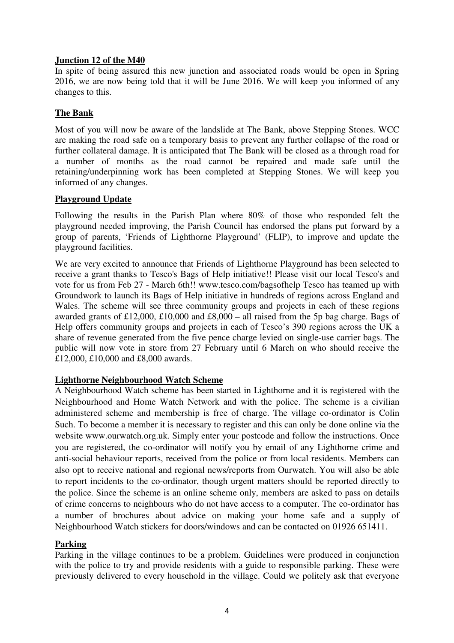#### **Junction 12 of the M40**

In spite of being assured this new junction and associated roads would be open in Spring 2016, we are now being told that it will be June 2016. We will keep you informed of any changes to this.

### **The Bank**

Most of you will now be aware of the landslide at The Bank, above Stepping Stones. WCC are making the road safe on a temporary basis to prevent any further collapse of the road or further collateral damage. It is anticipated that The Bank will be closed as a through road for a number of months as the road cannot be repaired and made safe until the retaining/underpinning work has been completed at Stepping Stones. We will keep you informed of any changes.

#### **Playground Update**

Following the results in the Parish Plan where 80% of those who responded felt the playground needed improving, the Parish Council has endorsed the plans put forward by a group of parents, 'Friends of Lighthorne Playground' (FLIP), to improve and update the playground facilities.

We are very excited to announce that Friends of Lighthorne Playground has been selected to receive a grant thanks to Tesco's Bags of Help initiative!! Please visit our local Tesco's and vote for us from Feb 27 - March 6th!! www.tesco.com/bagsofhelp Tesco has teamed up with Groundwork to launch its Bags of Help initiative in hundreds of regions across England and Wales. The scheme will see three community groups and projects in each of these regions awarded grants of £12,000, £10,000 and £8,000 – all raised from the 5p bag charge. Bags of Help offers community groups and projects in each of Tesco's 390 regions across the UK a share of revenue generated from the five pence charge levied on single-use carrier bags. The public will now vote in store from 27 February until 6 March on who should receive the £12,000, £10,000 and £8,000 awards.

#### **Lighthorne Neighbourhood Watch Scheme**

A Neighbourhood Watch scheme has been started in Lighthorne and it is registered with the Neighbourhood and Home Watch Network and with the police. The scheme is a civilian administered scheme and membership is free of charge. The village co-ordinator is Colin Such. To become a member it is necessary to register and this can only be done online via the website www.ourwatch.org.uk. Simply enter your postcode and follow the instructions. Once you are registered, the co-ordinator will notify you by email of any Lighthorne crime and anti-social behaviour reports, received from the police or from local residents. Members can also opt to receive national and regional news/reports from Ourwatch. You will also be able to report incidents to the co-ordinator, though urgent matters should be reported directly to the police. Since the scheme is an online scheme only, members are asked to pass on details of crime concerns to neighbours who do not have access to a computer. The co-ordinator has a number of brochures about advice on making your home safe and a supply of Neighbourhood Watch stickers for doors/windows and can be contacted on 01926 651411.

#### **Parking**

Parking in the village continues to be a problem. Guidelines were produced in conjunction with the police to try and provide residents with a guide to responsible parking. These were previously delivered to every household in the village. Could we politely ask that everyone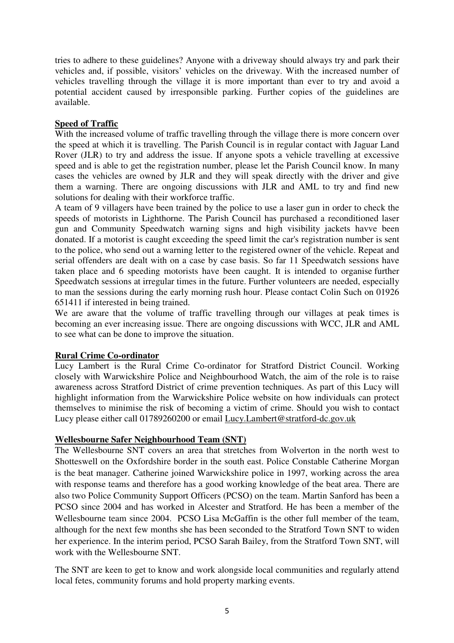tries to adhere to these guidelines? Anyone with a driveway should always try and park their vehicles and, if possible, visitors' vehicles on the driveway. With the increased number of vehicles travelling through the village it is more important than ever to try and avoid a potential accident caused by irresponsible parking. Further copies of the guidelines are available.

# **Speed of Traffic**

With the increased volume of traffic travelling through the village there is more concern over the speed at which it is travelling. The Parish Council is in regular contact with Jaguar Land Rover (JLR) to try and address the issue. If anyone spots a vehicle travelling at excessive speed and is able to get the registration number, please let the Parish Council know. In many cases the vehicles are owned by JLR and they will speak directly with the driver and give them a warning. There are ongoing discussions with JLR and AML to try and find new solutions for dealing with their workforce traffic.

A team of 9 villagers have been trained by the police to use a laser gun in order to check the speeds of motorists in Lighthorne. The Parish Council has purchased a reconditioned laser gun and Community Speedwatch warning signs and high visibility jackets havve been donated. If a motorist is caught exceeding the speed limit the car's registration number is sent to the police, who send out a warning letter to the registered owner of the vehicle. Repeat and serial offenders are dealt with on a case by case basis. So far 11 Speedwatch sessions have taken place and 6 speeding motorists have been caught. It is intended to organise further Speedwatch sessions at irregular times in the future. Further volunteers are needed, especially to man the sessions during the early morning rush hour. Please contact Colin Such on 01926 651411 if interested in being trained.

We are aware that the volume of traffic travelling through our villages at peak times is becoming an ever increasing issue. There are ongoing discussions with WCC, JLR and AML to see what can be done to improve the situation.

#### **Rural Crime Co-ordinator**

Lucy Lambert is the Rural Crime Co-ordinator for Stratford District Council. Working closely with Warwickshire Police and Neighbourhood Watch, the aim of the role is to raise awareness across Stratford District of crime prevention techniques. As part of this Lucy will highlight information from the Warwickshire Police website on how individuals can protect themselves to minimise the risk of becoming a victim of crime. Should you wish to contact Lucy please either call 01789260200 or email Lucy.Lambert@stratford-dc.gov.uk

#### **Wellesbourne Safer Neighbourhood Team (SNT)**

The Wellesbourne SNT covers an area that stretches from Wolverton in the north west to Shotteswell on the Oxfordshire border in the south east. Police Constable Catherine Morgan is the beat manager. Catherine joined Warwickshire police in 1997, working across the area with response teams and therefore has a good working knowledge of the beat area. There are also two Police Community Support Officers (PCSO) on the team. Martin Sanford has been a PCSO since 2004 and has worked in Alcester and Stratford. He has been a member of the Wellesbourne team since 2004. PCSO Lisa McGaffin is the other full member of the team, although for the next few months she has been seconded to the Stratford Town SNT to widen her experience. In the interim period, PCSO Sarah Bailey, from the Stratford Town SNT, will work with the Wellesbourne SNT.

The SNT are keen to get to know and work alongside local communities and regularly attend local fetes, community forums and hold property marking events.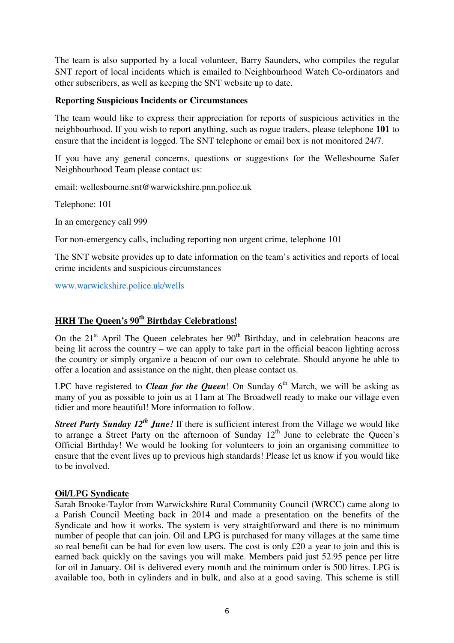The team is also supported by a local volunteer, Barry Saunders, who compiles the regular SNT report of local incidents which is emailed to Neighbourhood Watch Co-ordinators and other subscribers, as well as keeping the SNT website up to date.

#### **Reporting Suspicious Incidents or Circumstances**

The team would like to express their appreciation for reports of suspicious activities in the neighbourhood. If you wish to report anything, such as rogue traders, please telephone **101** to ensure that the incident is logged. The SNT telephone or email box is not monitored 24/7.

If you have any general concerns, questions or suggestions for the Wellesbourne Safer Neighbourhood Team please contact us:

email: wellesbourne.snt@warwickshire.pnn.police.uk

Telephone: 101

In an emergency call 999

For non-emergency calls, including reporting non urgent crime, telephone 101

The SNT website provides up to date information on the team's activities and reports of local crime incidents and suspicious circumstances

www.warwickshire.police.uk/wells

## **HRH The Queen's 90th Birthday Celebrations!**

On the  $21<sup>st</sup>$  April The Queen celebrates her  $90<sup>th</sup>$  Birthday, and in celebration beacons are being lit across the country – we can apply to take part in the official beacon lighting across the country or simply organize a beacon of our own to celebrate. Should anyone be able to offer a location and assistance on the night, then please contact us.

LPC have registered to *Clean for the Queen*! On Sunday  $6<sup>th</sup>$  March, we will be asking as many of you as possible to join us at 11am at The Broadwell ready to make our village even tidier and more beautiful! More information to follow.

*Street Party Sunday 12<sup>th</sup> June!* If there is sufficient interest from the Village we would like to arrange a Street Party on the afternoon of Sunday  $12<sup>th</sup>$  June to celebrate the Queen's Official Birthday! We would be looking for volunteers to join an organising committee to ensure that the event lives up to previous high standards! Please let us know if you would like to be involved.

#### **Oil/LPG Syndicate**

Sarah Brooke-Taylor from Warwickshire Rural Community Council (WRCC) came along to a Parish Council Meeting back in 2014 and made a presentation on the benefits of the Syndicate and how it works. The system is very straightforward and there is no minimum number of people that can join. Oil and LPG is purchased for many villages at the same time so real benefit can be had for even low users. The cost is only £20 a year to join and this is earned back quickly on the savings you will make. Members paid just 52.95 pence per litre for oil in January. Oil is delivered every month and the minimum order is 500 litres. LPG is available too, both in cylinders and in bulk, and also at a good saving. This scheme is still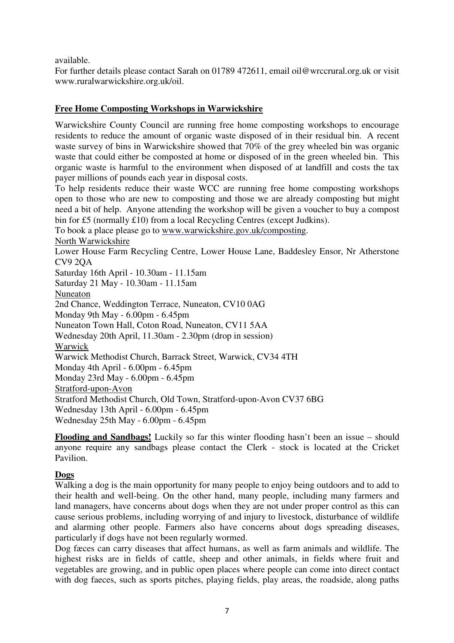available.

For further details please contact Sarah on 01789 472611, email oil@wrccrural.org.uk or visit www.ruralwarwickshire.org.uk/oil.

#### **Free Home Composting Workshops in Warwickshire**

Warwickshire County Council are running free home composting workshops to encourage residents to reduce the amount of organic waste disposed of in their residual bin. A recent waste survey of bins in Warwickshire showed that 70% of the grey wheeled bin was organic waste that could either be composted at home or disposed of in the green wheeled bin. This organic waste is harmful to the environment when disposed of at landfill and costs the tax payer millions of pounds each year in disposal costs.

To help residents reduce their waste WCC are running free home composting workshops open to those who are new to composting and those we are already composting but might need a bit of help. Anyone attending the workshop will be given a voucher to buy a compost bin for £5 (normally £10) from a local Recycling Centres (except Judkins).

To book a place please go to www.warwickshire.gov.uk/composting.

North Warwickshire

Lower House Farm Recycling Centre, Lower House Lane, Baddesley Ensor, Nr Atherstone CV9 2QA

Saturday 16th April - 10.30am - 11.15am Saturday 21 May - 10.30am - 11.15am Nuneaton 2nd Chance, Weddington Terrace, Nuneaton, CV10 0AG Monday 9th May - 6.00pm - 6.45pm Nuneaton Town Hall, Coton Road, Nuneaton, CV11 5AA Wednesday 20th April, 11.30am - 2.30pm (drop in session) Warwick Warwick Methodist Church, Barrack Street, Warwick, CV34 4TH Monday 4th April - 6.00pm - 6.45pm

Monday 23rd May - 6.00pm - 6.45pm Stratford-upon-Avon Stratford Methodist Church, Old Town, Stratford-upon-Avon CV37 6BG Wednesday 13th April - 6.00pm - 6.45pm Wednesday 25th May - 6.00pm - 6.45pm

**Flooding and Sandbags!** Luckily so far this winter flooding hasn't been an issue – should anyone require any sandbags please contact the Clerk - stock is located at the Cricket Pavilion.

#### **Dogs**

Walking a dog is the main opportunity for many people to enjoy being outdoors and to add to their health and well-being. On the other hand, many people, including many farmers and land managers, have concerns about dogs when they are not under proper control as this can cause serious problems, including worrying of and injury to livestock, disturbance of wildlife and alarming other people. Farmers also have concerns about dogs spreading diseases, particularly if dogs have not been regularly wormed.

Dog fæces can carry diseases that affect humans, as well as farm animals and wildlife. The highest risks are in fields of cattle, sheep and other animals, in fields where fruit and vegetables are growing, and in public open places where people can come into direct contact with dog faeces, such as sports pitches, playing fields, play areas, the roadside, along paths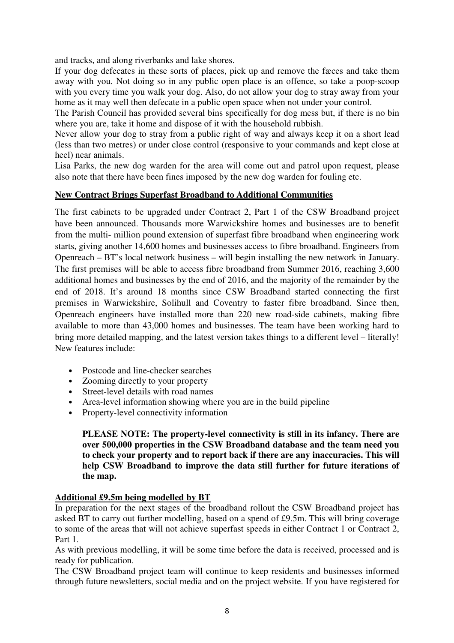and tracks, and along riverbanks and lake shores.

If your dog defecates in these sorts of places, pick up and remove the fæces and take them away with you. Not doing so in any public open place is an offence, so take a poop-scoop with you every time you walk your dog. Also, do not allow your dog to stray away from your home as it may well then defecate in a public open space when not under your control.

The Parish Council has provided several bins specifically for dog mess but, if there is no bin where you are, take it home and dispose of it with the household rubbish.

Never allow your dog to stray from a public right of way and always keep it on a short lead (less than two metres) or under close control (responsive to your commands and kept close at heel) near animals.

Lisa Parks, the new dog warden for the area will come out and patrol upon request, please also note that there have been fines imposed by the new dog warden for fouling etc.

#### **New Contract Brings Superfast Broadband to Additional Communities**

The first cabinets to be upgraded under Contract 2, Part 1 of the CSW Broadband project have been announced. Thousands more Warwickshire homes and businesses are to benefit from the multi- million pound extension of superfast fibre broadband when engineering work starts, giving another 14,600 homes and businesses access to fibre broadband. Engineers from Openreach – BT's local network business – will begin installing the new network in January. The first premises will be able to access fibre broadband from Summer 2016, reaching 3,600 additional homes and businesses by the end of 2016, and the majority of the remainder by the end of 2018. It's around 18 months since CSW Broadband started connecting the first premises in Warwickshire, Solihull and Coventry to faster fibre broadband. Since then, Openreach engineers have installed more than 220 new road-side cabinets, making fibre available to more than 43,000 homes and businesses. The team have been working hard to bring more detailed mapping, and the latest version takes things to a different level – literally! New features include:

- Postcode and line-checker searches
- Zooming directly to your property
- Street-level details with road names
- Area-level information showing where you are in the build pipeline
- Property-level connectivity information

**PLEASE NOTE: The property-level connectivity is still in its infancy. There are over 500,000 properties in the CSW Broadband database and the team need you to check your property and to report back if there are any inaccuracies. This will help CSW Broadband to improve the data still further for future iterations of the map.** 

#### **Additional £9.5m being modelled by BT**

In preparation for the next stages of the broadband rollout the CSW Broadband project has asked BT to carry out further modelling, based on a spend of £9.5m. This will bring coverage to some of the areas that will not achieve superfast speeds in either Contract 1 or Contract 2, Part 1.

As with previous modelling, it will be some time before the data is received, processed and is ready for publication.

The CSW Broadband project team will continue to keep residents and businesses informed through future newsletters, social media and on the project website. If you have registered for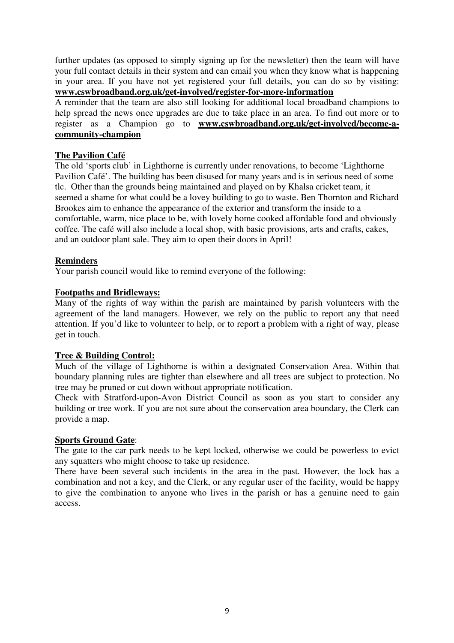further updates (as opposed to simply signing up for the newsletter) then the team will have your full contact details in their system and can email you when they know what is happening in your area. If you have not yet registered your full details, you can do so by visiting: **www.cswbroadband.org.uk/get-involved/register-for-more-information**

A reminder that the team are also still looking for additional local broadband champions to help spread the news once upgrades are due to take place in an area. To find out more or to register as a Champion go to **www.cswbroadband.org.uk/get-involved/become-acommunity-champion**

#### **The Pavilion Café**

The old 'sports club' in Lighthorne is currently under renovations, to become 'Lighthorne Pavilion Café'. The building has been disused for many years and is in serious need of some tlc. Other than the grounds being maintained and played on by Khalsa cricket team, it seemed a shame for what could be a lovey building to go to waste. Ben Thornton and Richard Brookes aim to enhance the appearance of the exterior and transform the inside to a comfortable, warm, nice place to be, with lovely home cooked affordable food and obviously coffee. The café will also include a local shop, with basic provisions, arts and crafts, cakes, and an outdoor plant sale. They aim to open their doors in April!

#### **Reminders**

Your parish council would like to remind everyone of the following:

#### **Footpaths and Bridleways:**

Many of the rights of way within the parish are maintained by parish volunteers with the agreement of the land managers. However, we rely on the public to report any that need attention. If you'd like to volunteer to help, or to report a problem with a right of way, please get in touch.

#### **Tree & Building Control:**

Much of the village of Lighthorne is within a designated Conservation Area. Within that boundary planning rules are tighter than elsewhere and all trees are subject to protection. No tree may be pruned or cut down without appropriate notification.

Check with Stratford-upon-Avon District Council as soon as you start to consider any building or tree work. If you are not sure about the conservation area boundary, the Clerk can provide a map.

#### **Sports Ground Gate**:

The gate to the car park needs to be kept locked, otherwise we could be powerless to evict any squatters who might choose to take up residence.

There have been several such incidents in the area in the past. However, the lock has a combination and not a key, and the Clerk, or any regular user of the facility, would be happy to give the combination to anyone who lives in the parish or has a genuine need to gain access.